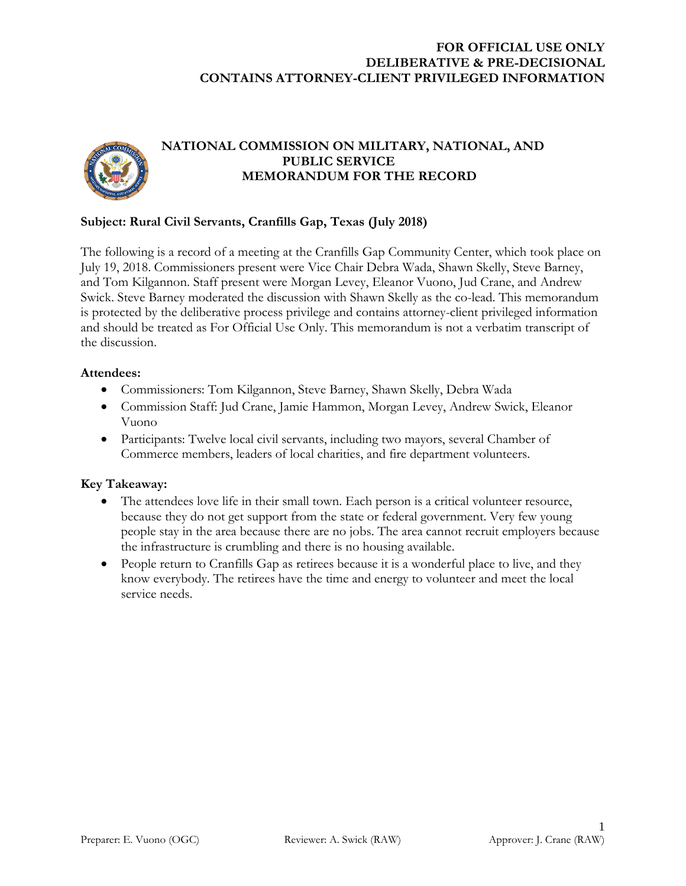# **FOR OFFICIAL USE ONLY DELIBERATIVE & PRE-DECISIONAL CONTAINS ATTORNEY-CLIENT PRIVILEGED INFORMATION**



# **NATIONAL COMMISSION ON MILITARY, NATIONAL, AND PUBLIC SERVICE MEMORANDUM FOR THE RECORD**

# **Subject: Rural Civil Servants, Cranfills Gap, Texas (July 2018)**

The following is a record of a meeting at the Cranfills Gap Community Center, which took place on July 19, 2018. Commissioners present were Vice Chair Debra Wada, Shawn Skelly, Steve Barney, and Tom Kilgannon. Staff present were Morgan Levey, Eleanor Vuono, Jud Crane, and Andrew Swick. Steve Barney moderated the discussion with Shawn Skelly as the co-lead. This memorandum is protected by the deliberative process privilege and contains attorney-client privileged information and should be treated as For Official Use Only. This memorandum is not a verbatim transcript of the discussion.

### **Attendees:**

- Commissioners: Tom Kilgannon, Steve Barney, Shawn Skelly, Debra Wada
- Commission Staff: Jud Crane, Jamie Hammon, Morgan Levey, Andrew Swick, Eleanor Vuono
- Participants: Twelve local civil servants, including two mayors, several Chamber of Commerce members, leaders of local charities, and fire department volunteers.

## **Key Takeaway:**

- The attendees love life in their small town. Each person is a critical volunteer resource, because they do not get support from the state or federal government. Very few young people stay in the area because there are no jobs. The area cannot recruit employers because the infrastructure is crumbling and there is no housing available.
- People return to Cranfills Gap as retirees because it is a wonderful place to live, and they know everybody. The retirees have the time and energy to volunteer and meet the local service needs.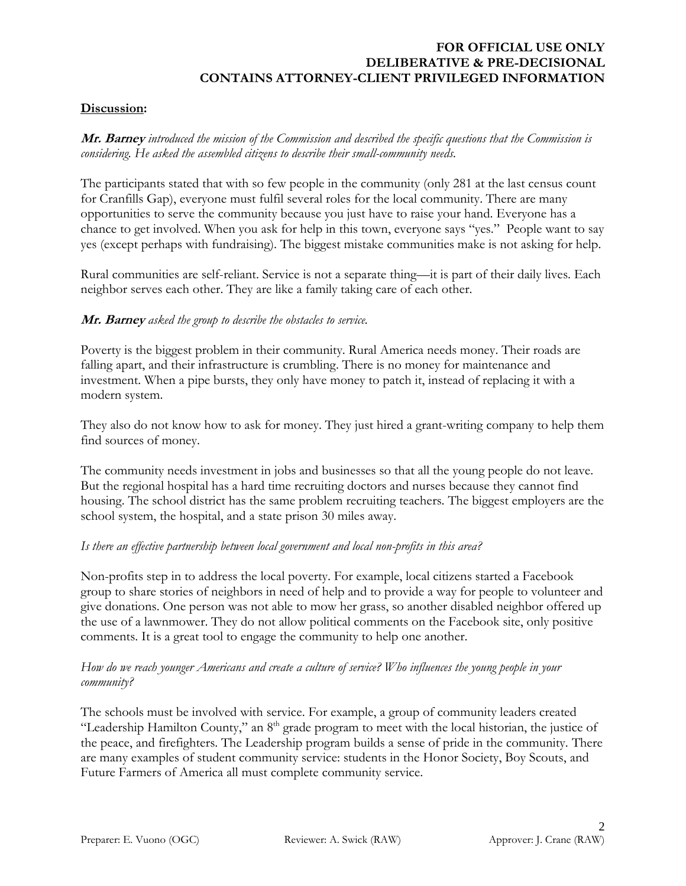# **FOR OFFICIAL USE ONLY DELIBERATIVE & PRE-DECISIONAL CONTAINS ATTORNEY-CLIENT PRIVILEGED INFORMATION**

## **Discussion:**

### **Mr. Barney** *introduced the mission of the Commission and described the specific questions that the Commission is considering. He asked the assembled citizens to describe their small-community needs.*

The participants stated that with so few people in the community (only 281 at the last census count for Cranfills Gap), everyone must fulfil several roles for the local community. There are many opportunities to serve the community because you just have to raise your hand. Everyone has a chance to get involved. When you ask for help in this town, everyone says "yes." People want to say yes (except perhaps with fundraising). The biggest mistake communities make is not asking for help.

Rural communities are self-reliant. Service is not a separate thing—it is part of their daily lives. Each neighbor serves each other. They are like a family taking care of each other.

#### **Mr. Barney** *asked the group to describe the obstacles to service.*

Poverty is the biggest problem in their community. Rural America needs money. Their roads are falling apart, and their infrastructure is crumbling. There is no money for maintenance and investment. When a pipe bursts, they only have money to patch it, instead of replacing it with a modern system.

They also do not know how to ask for money. They just hired a grant-writing company to help them find sources of money.

The community needs investment in jobs and businesses so that all the young people do not leave. But the regional hospital has a hard time recruiting doctors and nurses because they cannot find housing. The school district has the same problem recruiting teachers. The biggest employers are the school system, the hospital, and a state prison 30 miles away.

#### *Is there an effective partnership between local government and local non-profits in this area?*

Non-profits step in to address the local poverty. For example, local citizens started a Facebook group to share stories of neighbors in need of help and to provide a way for people to volunteer and give donations. One person was not able to mow her grass, so another disabled neighbor offered up the use of a lawnmower. They do not allow political comments on the Facebook site, only positive comments. It is a great tool to engage the community to help one another.

## *How do we reach younger Americans and create a culture of service? Who influences the young people in your community?*

The schools must be involved with service. For example, a group of community leaders created "Leadership Hamilton County," an  $8<sup>th</sup>$  grade program to meet with the local historian, the justice of the peace, and firefighters. The Leadership program builds a sense of pride in the community. There are many examples of student community service: students in the Honor Society, Boy Scouts, and Future Farmers of America all must complete community service.